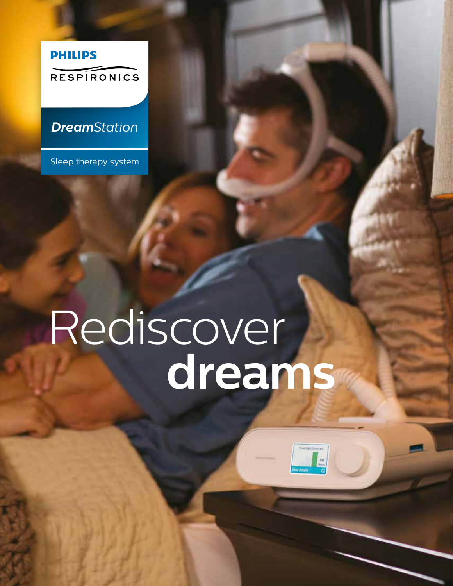

## **Dream**Station

Sleep therapy system

# Rediscover **dreams**

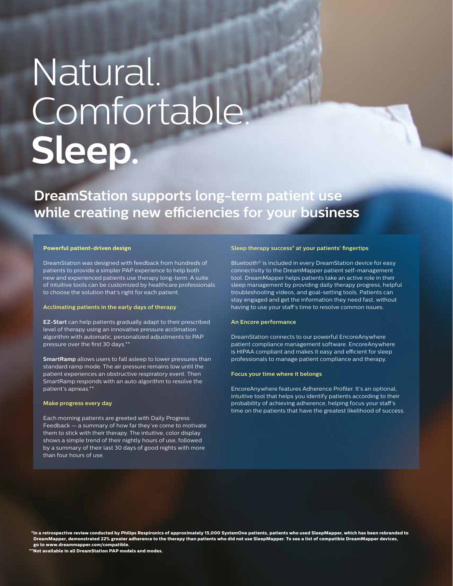## Natural. **Comfortable Sleep.**

**DreamStation supports long-term patient use while creating new efficiencies for your business** 

### **Powerful patient-driven design**

DreamStation was designed with feedback from hundreds of patients to provide a simpler PAP experience to help both new and experienced patients use therapy long-term. A suite of intuitive tools can be customized by healthcare professionals to choose the solution that's right for each patient.

#### **Acclimating patients in the early days of therapy**

**EZ-Start** can help patients gradually adapt to their prescribed level of therapy using an innovative pressure acclimation algorithm with automatic, personalized adjustments to PAP pressure over the first 30 days.\*\*

**SmartRamp** allows users to fall asleep to lower pressures than standard ramp mode. The air pressure remains low until the patient experiences an obstructive respiratory event. Then SmartRamp responds with an auto algorithm to resolve the patient's apneas.\*\*

### **Make progress every day**

Each morning patients are greeted with Daily Progress Feedback — a summary of how far they've come to motivate them to stick with their therapy. The intuitive, color display shows a simple trend of their nightly hours of use, followed by a summary of their last 30 days of good nights with more than four hours of use.

### **Sleep therapy success\* at your patients' fingertips**

Bluetooth® is included in every DreamStation device for easy connectivity to the DreamMapper patient self-management tool. DreamMapper helps patients take an active role in their sleep management by providing daily therapy progress, helpful troubleshooting videos, and goal-setting tools. Patients can stay engaged and get the information they need fast, without having to use your staff's time to resolve common issues.

### **An Encore performance**

DreamStation connects to our powerful EncoreAnywhere patient compliance management software. EncoreAnywhere is HIPAA compliant and makes it easy and efficient for sleep professionals to manage patient compliance and therapy.

#### **Focus your time where it belongs**

EncoreAnywhere features Adherence Profiler. It's an optional, intuitive tool that helps you identify patients according to their probability of achieving adherence, helping focus your staff's time on the patients that have the greatest likelihood of success.

**\*In a retrospective review conducted by Philips Respironics of approximately 15,000 SystemOne patients, patients who used SleepMapper, which has been rebranded to DreamMapper, demonstrated 22% greater adherence to the therapy than patients who did not use SleepMapper. To see a list of compatible DreamMapper devices, go to www.dreammapper.com/compatible.**

**\*\*Not available in all DreamStation PAP models and modes.**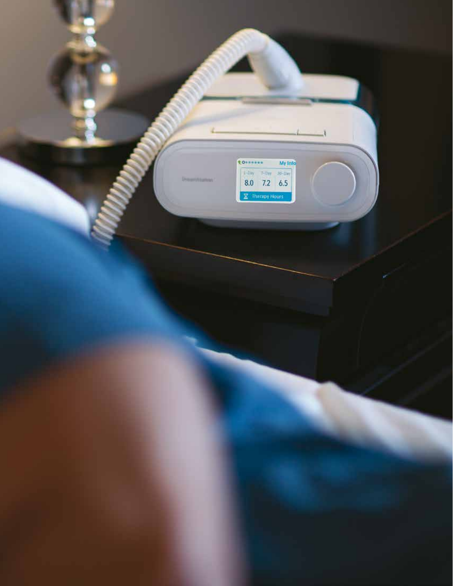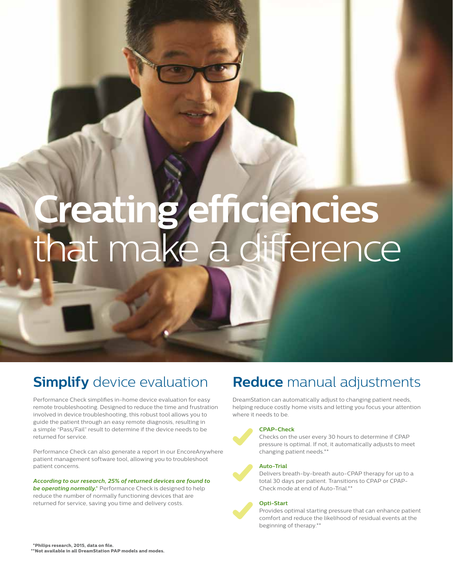## **Creating efficiencies**  that make a difference

## **Simplify** device evaluation

Performance Check simplifies in-home device evaluation for easy remote troubleshooting. Designed to reduce the time and frustration involved in device troubleshooting, this robust tool allows you to guide the patient through an easy remote diagnosis, resulting in a simple "Pass/Fail" result to determine if the device needs to be returned for service.

Performance Check can also generate a report in our EncoreAnywhere patient management software tool, allowing you to troubleshoot patient concerns.

*According to our research, 25% of returned devices are found to be operating normally.*\* Performance Check is designed to help reduce the number of normally functioning devices that are returned for service, saving you time and delivery costs.

## **Reduce** manual adjustments

DreamStation can automatically adjust to changing patient needs, helping reduce costly home visits and letting you focus your attention where it needs to be.

### **CPAP-Check**

Checks on the user every 30 hours to determine if CPAP pressure is optimal. If not, it automatically adjusts to meet changing patient needs.\*\*

#### **Auto-Trial**

Delivers breath-by-breath auto-CPAP therapy for up to a total 30 days per patient. Transitions to CPAP or CPAP-Check mode at end of Auto-Trial.\*\*

### **Opti-Start**

Provides optimal starting pressure that can enhance patient comfort and reduce the likelihood of residual events at the beginning of therapy.\*\*

**\*Philips research, 2015, data on file.**

**\*\*Not available in all DreamStation PAP models and modes.**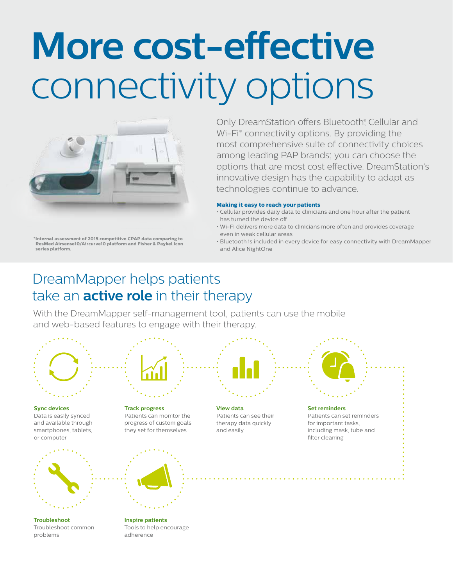# **More cost-effective** connectivity options



**\*Internal assessment of 2015 competitive CPAP data comparing to ResMed Airsense10/Aircurve10 platform and Fisher & Paykel Icon series platform.**

Only DreamStation offers Bluetooth®, Cellular and Wi-Fi® connectivity options. By providing the most comprehensive suite of connectivity choices among leading PAP brands**\*** , you can choose the options that are most cost effective. DreamStation's innovative design has the capability to adapt as technologies continue to advance.

### **Making it easy to reach your patients**

- Cellular provides daily data to clinicians and one hour after the patient has turned the device off
- Wi-Fi delivers more data to clinicians more often and provides coverage even in weak cellular areas
- Bluetooth is included in every device for easy connectivity with DreamMapper and Alice NightOne

## DreamMapper helps patients take an **active role** in their therapy

With the DreamMapper self-management tool, patients can use the mobile and web-based features to engage with their therapy.



**Sync devices** Data is easily synced and available through smartphones, tablets, or computer



**Troubleshoot** Troubleshoot common problems

**Track progress** Patients can monitor the progress of custom goals they set for themselves



**Inspire patients** Tools to help encourage adherence

**View data** Patients can see their therapy data quickly and easily



**Set reminders** Patients can set reminders for important tasks, including mask, tube and filter cleaning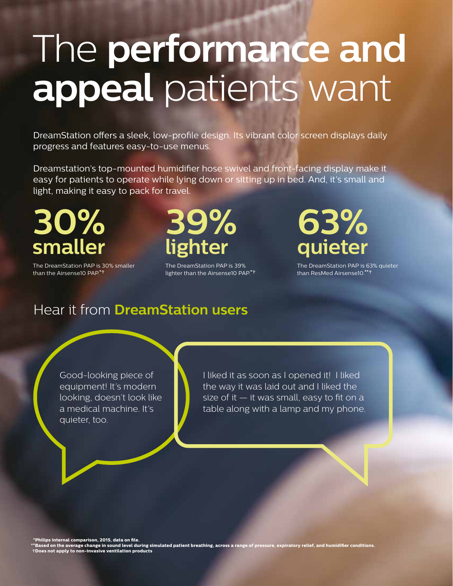## The **performance and appeal** patients want

DreamStation offers a sleek, low-profile design. Its vibrant color screen displays daily progress and features easy-to-use menus.

Dreamstation's top-mounted humidifier hose swivel and front-facing display make it easy for patients to operate while lying down or sitting up in bed. And, it's small and light, making it easy to pack for travel.

**30% smaller**

The DreamStation PAP is 30% smaller than the Airsense10 PAP.**\*†**

**39% light** 

The DreamStation PAP is 39% lighter than the Airsense10 PAP.**\* †** **63% quieter**

The DreamStation PAP is 63% quieter than ResMed Airsense10.**\*\* †**

## Hear it from **DreamStation users**

Good-looking piece of equipment! It's modern looking, doesn't look like a medical machine. It's quieter, too.

I liked it as soon as I opened it! I liked the way it was laid out and I liked the size of it  $-$  it was small, easy to fit on a table along with a lamp and my phone.

**\*Philips internal comparison, 2015, data on file. \*\*Based on the average change in sound level during simulated patient breathing, across a range of pressure, expiratory relief, and humidifier conditions.** 

**†Does not apply to non-invasive ventilation products**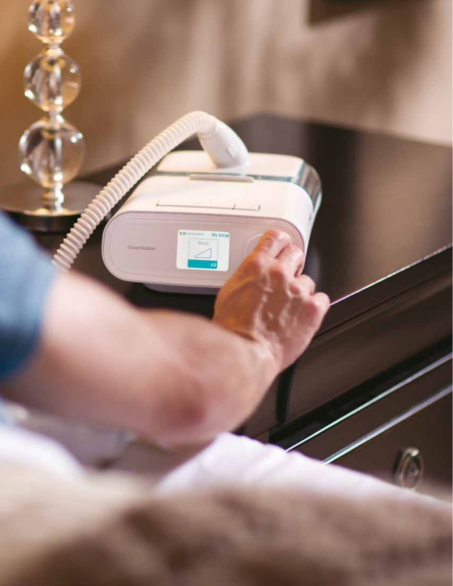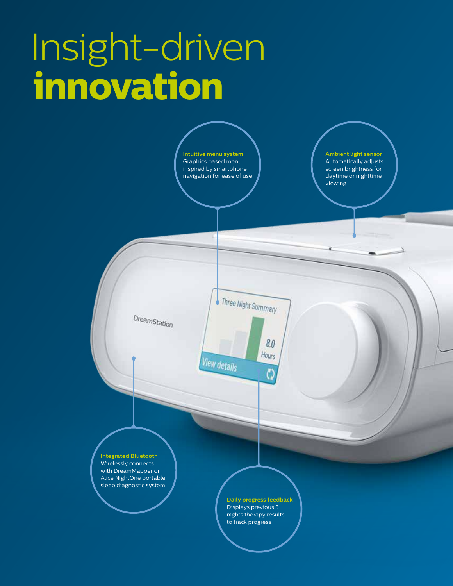## Insight-driven **innovation**

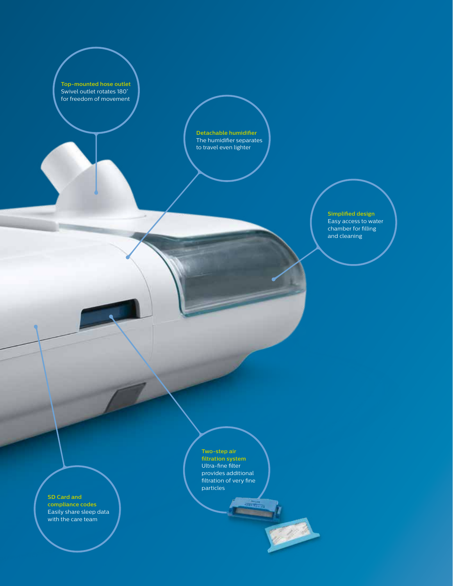**Top-mounted hose outlet** Swivel outlet rotates 180˚ for freedom of movement

 $\bullet$ 

**Detachable humidifier** The humidifier separates to travel even lighter

> **Simplified design** Easy access to water chamber for filling and cleaning

**SD Card and compliance codes** Easily share sleep data with the care team

**Two-step air filtration system** Ultra-fine filter provides additional filtration of very fine particles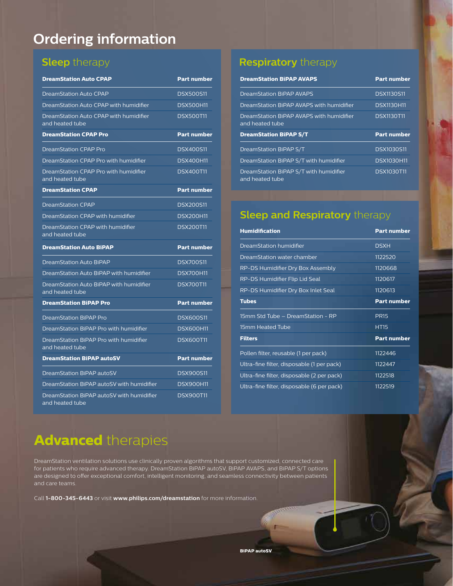## **Ordering information**

| <b>DreamStation Auto CPAP</b>                                | <b>Part number</b> | <b>DreamStation</b>                     |
|--------------------------------------------------------------|--------------------|-----------------------------------------|
| DreamStation Auto CPAP                                       | <b>DSX500S11</b>   | <b>DreamStation E</b>                   |
| DreamStation Auto CPAP with humidifier                       | <b>DSX500H11</b>   | <b>DreamStation E</b>                   |
| DreamStation Auto CPAP with humidifier<br>and heated tube    | <b>DSX500T11</b>   | <b>DreamStation E</b><br>and heated tub |
| <b>DreamStation CPAP Pro</b>                                 | <b>Part number</b> | <b>DreamStation</b>                     |
| DreamStation CPAP Pro                                        | <b>DSX400S11</b>   | <b>DreamStation E</b>                   |
| DreamStation CPAP Pro with humidifier                        | <b>DSX400H11</b>   | <b>DreamStation E</b>                   |
| DreamStation CPAP Pro with humidifier<br>and heated tube     | <b>DSX400T11</b>   | <b>DreamStation E</b><br>and heated tub |
| <b>DreamStation CPAP</b>                                     | <b>Part number</b> |                                         |
| <b>DreamStation CPAP</b>                                     | <b>DSX200S11</b>   |                                         |
| DreamStation CPAP with humidifier                            | <b>DSX200H11</b>   | <b>Sleep</b> ar                         |
| DreamStation CPAP with humidifier<br>and heated tube         | <b>DSX200T11</b>   | <b>Humidification</b>                   |
| <b>DreamStation Auto BiPAP</b>                               | <b>Part number</b> | DreamStation h                          |
| DreamStation Auto BiPAP                                      | <b>DSX700S11</b>   | DreamStation v                          |
| DreamStation Auto BiPAP with humidifier                      | <b>DSX700H11</b>   | <b>RP-DS Humidif</b>                    |
| DreamStation Auto BiPAP with humidifier                      | <b>DSX700T11</b>   | <b>RP-DS Humidif</b>                    |
| and heated tube                                              |                    | <b>RP-DS Humidif</b>                    |
| <b>DreamStation BiPAP Pro</b>                                | <b>Part number</b> | <b>Tubes</b>                            |
| DreamStation BiPAP Pro                                       | <b>DSX600S11</b>   | 15mm Std Tube                           |
| DreamStation BiPAP Pro with humidifier                       | <b>DSX600H11</b>   | 15mm Heated T                           |
| DreamStation BiPAP Pro with humidifier<br>and heated tube    | <b>DSX600T11</b>   | <b>Filters</b>                          |
| <b>DreamStation BiPAP autoSV</b>                             | <b>Part number</b> | Pollen filter, reu                      |
|                                                              |                    | Ultra-fine filter.                      |
| DreamStation BiPAP autoSV                                    | <b>DSX900S11</b>   | Ultra-fine filter.                      |
| DreamStation BiPAP autoSV with humidifier                    | <b>DSX900H11</b>   | Ultra-fine filter.                      |
| DreamStation BiPAP autoSV with humidifier<br>and heated tube | <b>DSX900T11</b>   |                                         |

### **Sleep** therapy **Respiratory** therapy

| <b>DreamStation BiPAP AVAPS</b>                             | <b>Part number</b> |
|-------------------------------------------------------------|--------------------|
| DreamStation BiPAP AVAPS                                    | <b>DSX1130S11</b>  |
| DreamStation BiPAP AVAPS with humidifier                    | <b>DSX1130H11</b>  |
| DreamStation BiPAP AVAPS with humidifier<br>and heated tube | <b>DSX1130T11</b>  |
|                                                             |                    |
| <b>DreamStation BiPAP S/T</b>                               | <b>Part number</b> |
| DreamStation BiPAP S/T                                      | <b>DSX1030S11</b>  |
| DreamStation BiPAP S/T with humidifier                      | <b>DSX1030H11</b>  |

### **Sleep and Respiratory** therapy

| <b>DSX200T11</b>                       | <b>Humidification</b>                      | <b>Part number</b> |
|----------------------------------------|--------------------------------------------|--------------------|
| <b>Part number</b>                     | <b>DreamStation humidifier</b>             | <b>DSXH</b>        |
| <b>DSX700S11</b>                       | DreamStation water chamber                 | 1122520            |
| <b>DSX700H11</b>                       | RP-DS Humidifier Dry Box Assembly          | 1120668            |
| <b>DSX700T11</b>                       | RP-DS Humidifier Flip Lid Seal             | 1120617            |
|                                        | RP-DS Humidifier Dry Box Inlet Seal        | 1120613            |
| <b>Part number</b>                     | <b>Tubes</b>                               | <b>Part number</b> |
| <b>DSX600S11</b>                       | 15mm Std Tube – DreamStation - RP          | <b>PR15</b>        |
| <b>DSX600H11</b>                       | 15mm Heated Tube                           | <b>HT15</b>        |
| <b>DSX600T11</b>                       | <b>Filters</b>                             | <b>Part number</b> |
| <b>Part number</b><br><b>DSX900S11</b> | Pollen filter, reusable (1 per pack)       | 1122446            |
|                                        | Ultra-fine filter, disposable (1 per pack) | 1122447            |
|                                        | Ultra-fine filter, disposable (2 per pack) | 1122518            |
|                                        |                                            |                    |

## **Advanced** therapies

DreamStation ventilation solutions use clinically proven algorithms that support customized, connected care for patients who require advanced therapy. DreamStation BiPAP autoSV, BiPAP AVAPS, and BiPAP S/T options are designed to offer exceptional comfort, intelligent monitoring, and seamless connectivity between patients and care teams.

Call **1-800-345-6443** or visit **www.philips.com/dreamstation** for more information.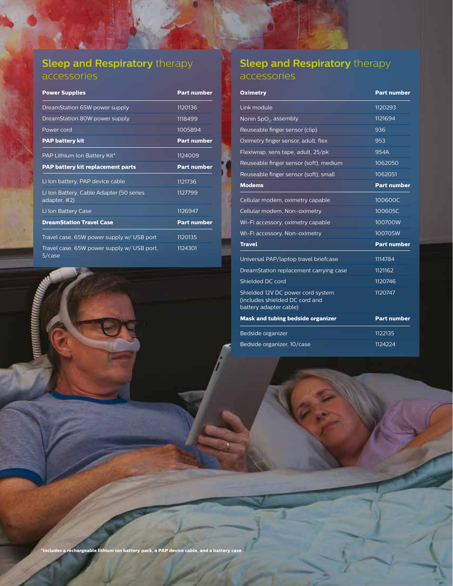### **Sleep and Respiratory** therapy

| <b>Power Supplies</b>                                    | <b>Part number</b> |
|----------------------------------------------------------|--------------------|
| DreamStation 65W power supply                            | 1120136            |
| DreamStation 80W power supply                            | 1118499            |
| Power cord                                               | 1005894            |
| <b>PAP battery kit</b>                                   | <b>Part number</b> |
| PAP Lithium Ion Battery Kit*                             | 1124009            |
| <b>PAP battery kit replacement parts</b>                 | <b>Part number</b> |
| Li Ion battery, PAP device cable                         | 1121736            |
| Li Ion Battery, Cable Adapter (50 series<br>adapter, #2) | 1127799            |
| Li Ion Battery Case                                      | 1126947            |
| <b>DreamStation Travel Case</b>                          | <b>Part number</b> |
| Travel case, 65W power supply w/ USB port                | 1120135            |
| Travel case, 65W power supply w/ USB port,<br>5/case     | 1124301            |

### **Sleep and Respiratory** therapy accessories

| <b>Oximetry</b>                                                                               | <b>Part number</b> |
|-----------------------------------------------------------------------------------------------|--------------------|
| Link module                                                                                   | 1120293            |
| Nonin SpO <sub>2</sub> , assembly                                                             | 1121694            |
| Reuseable finger sensor (clip)                                                                | 936                |
| Oximetry finger sensor, adult, flex                                                           | 953                |
| Flexiwrap, sens tape, adult, 25/pk                                                            | 954A               |
| Reuseable finger sensor (soft), medium                                                        | 1062050            |
| Reuseable finger sensor (soft), small                                                         | 1062051            |
| <b>Modems</b>                                                                                 | <b>Part number</b> |
| Cellular modem, oximetry capable                                                              | 100600C            |
| Cellular modem, Non-oximetry                                                                  | 100605C            |
| Wi-Fi accessory, oximetry capable                                                             | 100700W            |
| Wi-Fi accessory, Non-oximetry                                                                 | 100705W            |
| <b>Travel</b>                                                                                 | <b>Part number</b> |
| Universal PAP/laptop travel briefcase                                                         | 1114784            |
| DreamStation replacement carrying case                                                        | 1121162            |
| Shielded DC cord                                                                              | 1120746            |
| Shielded 12V DC power cord system<br>(includes shielded DC cord and<br>battery adapter cable) | 1120747            |
| <b>Mask and tubing bedside organizer</b>                                                      | <b>Part number</b> |
| Bedside organizer                                                                             | 1122135            |
| Bedside organizer, 10/case                                                                    | 1124224            |

**\*Includes a rechargeable lithium ion battery pack, a PAP device cable, and a battery case.**